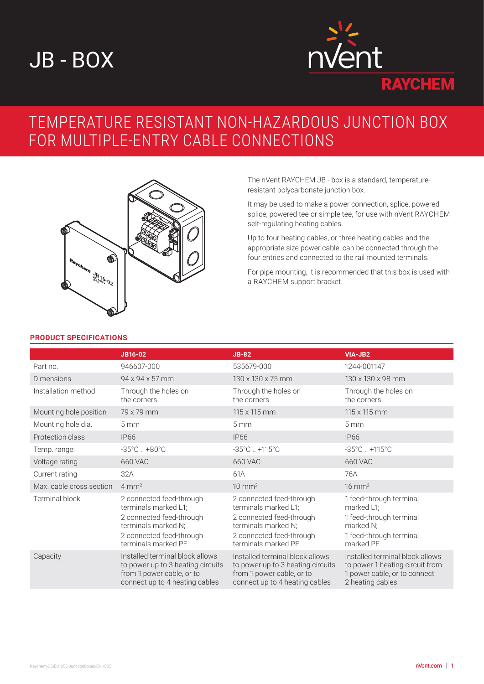# JB - BOX



# TEMPERATURE RESISTANT NON-HAZARDOUS JUNCTION BOX FOR MULTIPLE-ENTRY CABLE CONNECTIONS



The nVent RAYCHEM JB - box is a standard, temperatureresistant polycarbonate junction box.

It may be used to make a power connection, splice, powered splice, powered tee or simple tee, for use with nVent RAYCHEM self-regulating heating cables.

Up to four heating cables, or three heating cables and the appropriate size power cable, can be connected through the four entries and connected to the rail mounted terminals.

For pipe mounting, it is recommended that this box is used with a RAYCHEM support bracket.

### **PRODUCT SPECIFICATIONS**

|                          | JB16-02                                                                                                                                                | $JB-82$                                                                                                                                                | VIA-JB2                                                                                                                |
|--------------------------|--------------------------------------------------------------------------------------------------------------------------------------------------------|--------------------------------------------------------------------------------------------------------------------------------------------------------|------------------------------------------------------------------------------------------------------------------------|
| Part no.                 | 946607-000                                                                                                                                             | 535679-000                                                                                                                                             | 1244-001147                                                                                                            |
| <b>Dimensions</b>        | 94 x 94 x 57 mm                                                                                                                                        | $130 \times 130 \times 75$ mm                                                                                                                          | 130 x 130 x 98 mm                                                                                                      |
| Installation method      | Through the holes on<br>the corners                                                                                                                    | Through the holes on<br>the corners                                                                                                                    | Through the holes on<br>the corners                                                                                    |
| Mounting hole position   | 79 x 79 mm                                                                                                                                             | 115 x 115 mm                                                                                                                                           | 115 x 115 mm                                                                                                           |
| Mounting hole dia.       | 5 <sub>mm</sub>                                                                                                                                        | 5 <sub>mm</sub>                                                                                                                                        | 5 <sub>mm</sub>                                                                                                        |
| Protection class         | <b>IP66</b>                                                                                                                                            | <b>IP66</b>                                                                                                                                            | <b>IP66</b>                                                                                                            |
| Temp. range:             | $-35^{\circ}$ C. $+80^{\circ}$ C                                                                                                                       | $-35^{\circ}$ C +115 $^{\circ}$ C                                                                                                                      | $-35^{\circ}$ C +115 $^{\circ}$ C                                                                                      |
| Voltage rating           | 660 VAC                                                                                                                                                | <b>660 VAC</b>                                                                                                                                         | <b>660 VAC</b>                                                                                                         |
| Current rating           | 32A                                                                                                                                                    | 61A                                                                                                                                                    | 76A                                                                                                                    |
| Max. cable cross section | $4 \text{ mm}^2$                                                                                                                                       | $10 \text{ mm}^2$                                                                                                                                      | $16 \text{ mm}^2$                                                                                                      |
| <b>Terminal block</b>    | 2 connected feed-through<br>terminals marked L1;<br>2 connected feed-through<br>terminals marked N;<br>2 connected feed-through<br>terminals marked PE | 2 connected feed-through<br>terminals marked L1;<br>2 connected feed-through<br>terminals marked N;<br>2 connected feed-through<br>terminals marked PE | 1 feed-through terminal<br>marked L1;<br>1 feed-through terminal<br>marked N;<br>1 feed-through terminal<br>marked PE  |
| Capacity                 | Installed terminal block allows<br>to power up to 3 heating circuits<br>from 1 power cable, or to<br>connect up to 4 heating cables                    | Installed terminal block allows<br>to power up to 3 heating circuits<br>from 1 power cable, or to<br>connect up to 4 heating cables                    | Installed terminal block allows<br>to power 1 heating circuit from<br>1 power cable, or to connect<br>2 heating cables |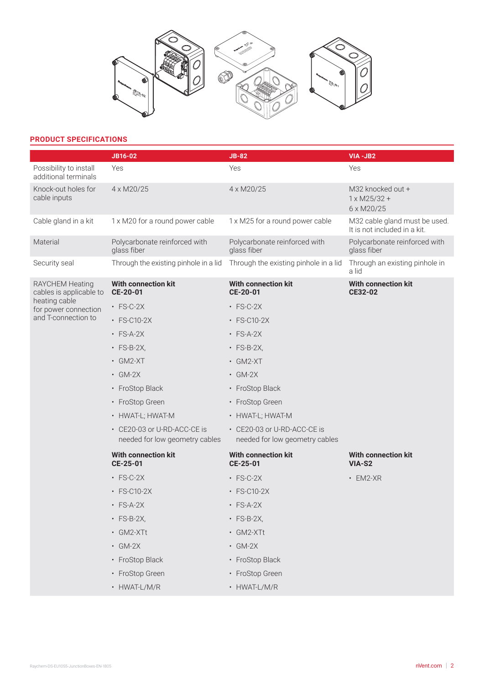

# **PRODUCT SPECIFICATIONS**

|                                                                                                            | <b>JB16-02</b>                                                | <b>JB-82</b>                                                  | VIA-JB2                                                       |
|------------------------------------------------------------------------------------------------------------|---------------------------------------------------------------|---------------------------------------------------------------|---------------------------------------------------------------|
| Possibility to install<br>additional terminals                                                             | Yes                                                           | Yes                                                           | Yes                                                           |
| Knock-out holes for<br>cable inputs                                                                        | 4 x M20/25                                                    | 4 x M20/25                                                    | M32 knocked out +<br>$1 \times M25/32 +$<br>6 x M20/25        |
| Cable gland in a kit                                                                                       | 1 x M20 for a round power cable                               | 1 x M25 for a round power cable                               | M32 cable gland must be used.<br>It is not included in a kit. |
| Material                                                                                                   | Polycarbonate reinforced with<br>glass fiber                  | Polycarbonate reinforced with<br>glass fiber                  | Polycarbonate reinforced with<br>glass fiber                  |
| Security seal                                                                                              | Through the existing pinhole in a lid                         | Through the existing pinhole in a lid                         | Through an existing pinhole in<br>a lid                       |
| RAYCHEM Heating<br>cables is applicable to<br>heating cable<br>for power connection<br>and T-connection to | <b>With connection kit</b><br>CE-20-01                        | <b>With connection kit</b><br>CE-20-01                        | <b>With connection kit</b><br>CE32-02                         |
|                                                                                                            | $\cdot$ FS-C-2X                                               | $\cdot$ FS-C-2X                                               |                                                               |
|                                                                                                            | $\cdot$ FS-C10-2X                                             | • FS-C10-2X                                                   |                                                               |
|                                                                                                            | $\cdot$ FS-A-2X                                               | $\cdot$ FS-A-2X                                               |                                                               |
|                                                                                                            | $\cdot$ FS-B-2X,                                              | $\cdot$ FS-B-2X,                                              |                                                               |
|                                                                                                            | $\cdot$ GM2-XT                                                | $\cdot$ GM2-XT                                                |                                                               |
|                                                                                                            | $\cdot$ GM-2X                                                 | $\cdot$ GM-2X                                                 |                                                               |
|                                                                                                            | • FroStop Black                                               | • FroStop Black                                               |                                                               |
|                                                                                                            | • FroStop Green                                               | • FroStop Green                                               |                                                               |
|                                                                                                            | • HWAT-L; HWAT-M                                              | • HWAT-L; HWAT-M                                              |                                                               |
|                                                                                                            | • CE20-03 or U-RD-ACC-CE is<br>needed for low geometry cables | • CE20-03 or U-RD-ACC-CE is<br>needed for low geometry cables |                                                               |
|                                                                                                            | <b>With connection kit</b><br>CE-25-01                        | <b>With connection kit</b><br>CE-25-01                        | <b>With connection kit</b><br>VIA-S2                          |
|                                                                                                            | $\cdot$ FS-C-2X                                               | $\cdot$ FS-C-2X                                               | $\cdot$ EM2-XR                                                |
|                                                                                                            | $\cdot$ FS-C10-2X                                             | $\cdot$ FS-C10-2X                                             |                                                               |
|                                                                                                            | $\cdot$ FS-A-2X                                               | $\cdot$ FS-A-2X                                               |                                                               |
|                                                                                                            | $\cdot$ FS-B-2X,                                              | $\cdot$ FS-B-2X,                                              |                                                               |
|                                                                                                            | · GM2-XTt                                                     | • GM2-XTt                                                     |                                                               |
|                                                                                                            | $\cdot$ GM-2X                                                 | $\cdot$ GM-2X                                                 |                                                               |
|                                                                                                            | • FroStop Black                                               | • FroStop Black                                               |                                                               |
|                                                                                                            | • FroStop Green                                               | • FroStop Green                                               |                                                               |
|                                                                                                            | • HWAT-L/M/R                                                  | • HWAT-L/M/R                                                  |                                                               |